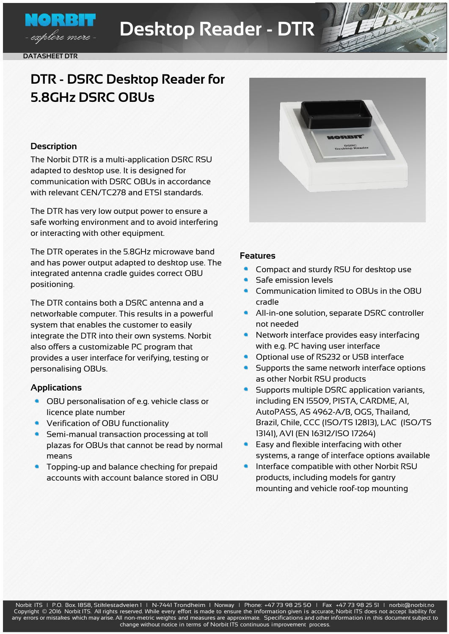

NO RBH

- explore more :

# **DTR - DSRC Desktop Reader for 5.8GHz DSRC OBUs**

# **Description**

The Norbit DTR is a multi-application DSRC RSU adapted to desktop use. It is designed for communication with DSRC OBUs in accordance with relevant CEN/TC278 and ETSI standards.

The DTR has very low output power to ensure a safe working environment and to avoid interfering or interacting with other equipment.

The DTR operates in the 5.8GHz microwave band and has power output adapted to desktop use. The integrated antenna cradle guides correct OBU positioning.

The DTR contains both a DSRC antenna and a networkable computer. This results in a powerful system that enables the customer to easily integrate the DTR into their own systems. Norbit also offers a customizable PC program that provides a user interface for verifying, testing or personalising OBUs.

# **Applications**

- OBU personalisation of e.g. vehicle class or licence plate number
- Verification of OBU functionality
- Semi-manual transaction processing at toll plazas for OBUs that cannot be read by normal means
- Topping-up and balance checking for prepaid accounts with account balance stored in OBU



### **Features**

- Compact and sturdy RSU for desktop use
- Safe emission levels
- Communication limited to OBUs in the OBU cradle
- All-in-one solution, separate DSRC controller not needed
- Network interface provides easy interfacing with e.g. PC having user interface
- Optional use of RS232 or USB interface
- Supports the same network interface options as other Norbit RSU products
- Supports multiple DSRC application variants, including EN 15509, PISTA, CARDME, A1, AutoPASS, AS 4962-A/B, OGS, Thailand, Brazil, Chile, CCC (ISO/TS 12813), LAC (ISO/TS 13141), AVI (EN 16312/ISO 17264)
- Easy and flexible interfacing with other systems, a range of interface options available
- Interface compatible with other Norbit RSU products, including models for gantry mounting and vehicle roof-top mounting

Norbit ITS | P.O. Box. 1858, Stiklestadveien 1 | N-7441 Trondheim | Norway | Phone: +47 73 98 25 50 | Fax +47 73 98 25 51 | [norbit@norbit.no](mailto:norblt@norbit.no) Copyright © 2016 Norbit ITS. All rights reserved. While every effort is made to ensure the information given is accurate, Norbit ITS does not accept liability for any errors or mistakes which may arise. All non-metric weights and measures are approximate. Specifications and other information in this document subject to change without notice in terms of Norbit ITS continuous improvement process.